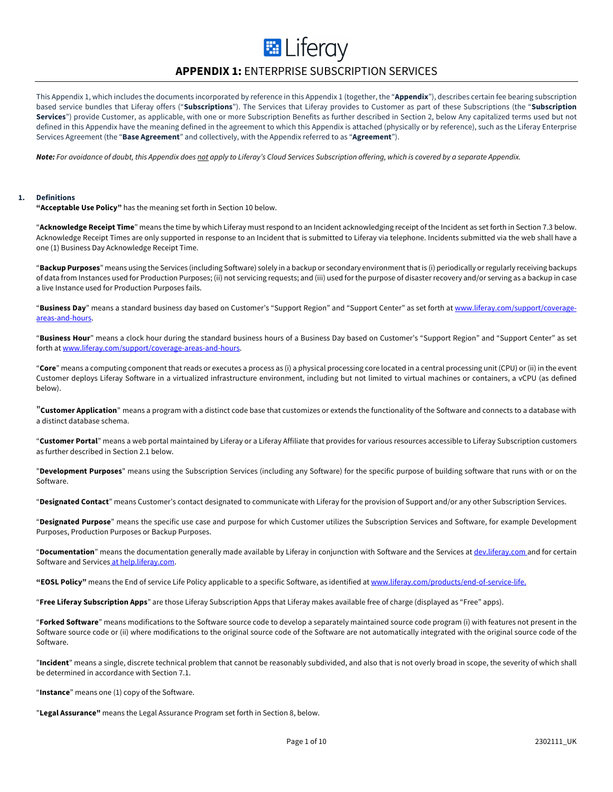# **E** Liferay

# **APPENDIX 1:** ENTERPRISE SUBSCRIPTION SERVICES

This Appendix 1, which includes the documents incorporated by reference in this Appendix 1 (together, the "**Appendix**"), describes certain fee bearing subscription based service bundles that Liferay offers ("**Subscriptions**"). The Services that Liferay provides to Customer as part of these Subscriptions (the "**Subscription Services**") provide Customer, as applicable, with one or more Subscription Benefits as further described in Section 2, below Any capitalized terms used but not defined in this Appendix have the meaning defined in the agreement to which this Appendix is attached (physically or by reference), such as the Liferay Enterprise Services Agreement (the "**Base Agreement**" and collectively, with the Appendix referred to as "**Agreement**").

*Note: For avoidance of doubt, this Appendix does not apply to Liferay's Cloud Services Subscription offering, which is covered by a separate Appendix.*

# **1. Definitions**

**"Acceptable Use Policy"** has the meaning set forth in Section 10 below.

"**Acknowledge Receipt Time**" means the time by which Liferay must respond to an Incident acknowledging receipt of the Incident as set forth in Section 7.3 below. Acknowledge Receipt Times are only supported in response to an Incident that is submitted to Liferay via telephone. Incidents submitted via the web shall have a one (1) Business Day Acknowledge Receipt Time.

"**Backup Purposes**" means using the Services (including Software) solely in a backup or secondary environment that is (i) periodically or regularly receiving backups of data from Instances used for Production Purposes; (ii) not servicing requests; and (iii) used for the purpose of disaster recovery and/or serving as a backup in case a live Instance used for Production Purposes fails.

"**Business Day**" means a standard business day based on Customer's "Support Region" and "Support Center" as set forth at www.liferay.com/support/coverageareas-and-hours.

"**Business Hour**" means a clock hour during the standard business hours of a Business Day based on Customer's "Support Region" and "Support Center" as set forth at www.liferay.com/support/coverage-areas-and-hours.

"**Core**" means a computing component that reads or executes a process as (i) a physical processing core located in a central processing unit (CPU) or (ii) in the event Customer deploys Liferay Software in a virtualized infrastructure environment, including but not limited to virtual machines or containers, a vCPU (as defined below).

"**Customer Application**" means a program with a distinct code base that customizes or extends the functionality of the Software and connects to a database with a distinct database schema.

"**Customer Portal**" means a web portal maintained by Liferay or a Liferay Affiliate that provides for various resources accessible to Liferay Subscription customers as further described in Section 2.1 below.

"**Development Purposes**" means using the Subscription Services (including any Software) for the specific purpose of building software that runs with or on the Software.

"**Designated Contact**" means Customer's contact designated to communicate with Liferay for the provision of Support and/or any other Subscription Services.

"**Designated Purpose**" means the specific use case and purpose for which Customer utilizes the Subscription Services and Software, for example Development Purposes, Production Purposes or Backup Purposes.

"**Documentation**" means the documentation generally made available by Liferay in conjunction with Software and the Services at dev.liferay.com and for certain Software and Services at help.liferay.com.

**"EOSL Policy"** means the End of service Life Policy applicable to a specific Software, as identified at www.liferay.com/products/end-of-service-life.

"**Free Liferay Subscription Apps**" are those Liferay Subscription Apps that Liferay makes available free of charge (displayed as "Free" apps).

"**Forked Software**" means modifications to the Software source code to develop a separately maintained source code program (i) with features not present in the Software source code or (ii) where modifications to the original source code of the Software are not automatically integrated with the original source code of the Software.

"**Incident**" means a single, discrete technical problem that cannot be reasonably subdivided, and also that is not overly broad in scope, the severity of which shall be determined in accordance with Section 7.1.

"**Instance**" means one (1) copy of the Software.

"**Legal Assurance"** means the Legal Assurance Program set forth in Section 8, below.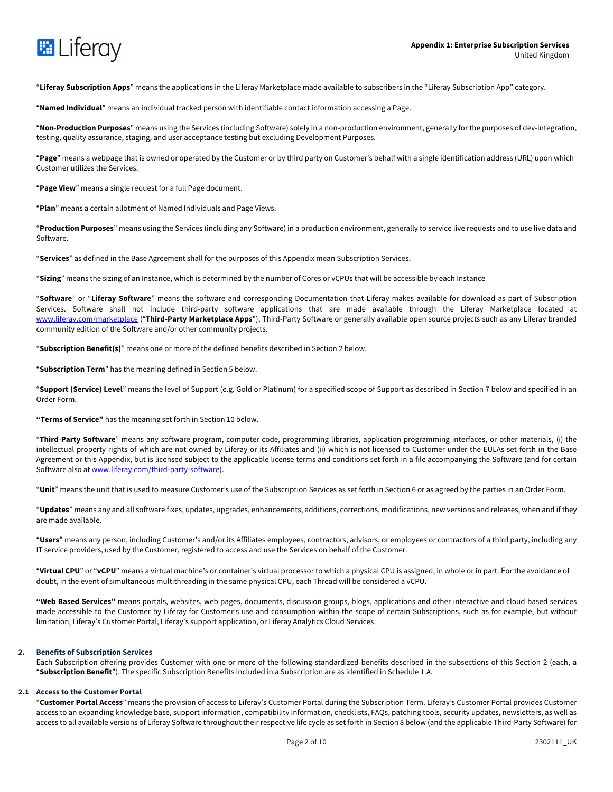

"**Liferay Subscription Apps**" means the applications in the Liferay Marketplace made available to subscribers in the "Liferay Subscription App" category.

"**Named Individual**" means an individual tracked person with identifiable contact information accessing a Page.

"**Non**-**Production Purposes**" means using the Services (including Software) solely in a non-production environment, generally for the purposes of dev-integration, testing, quality assurance, staging, and user acceptance testing but excluding Development Purposes.

"**Page**" means a webpage that is owned or operated by the Customer or by third party on Customer's behalf with a single identification address (URL) upon which Customer utilizes the Services.

"**Page View**" means a single request for a full Page document.

"**Plan**" means a certain allotment of Named Individuals and Page Views.

"**Production Purposes**" means using the Services (including any Software) in a production environment, generally to service live requests and to use live data and Software.

"**Services**" as defined in the Base Agreement shall for the purposes of this Appendix mean Subscription Services.

"**Sizing**" means the sizing of an Instance, which is determined by the number of Cores or vCPUs that will be accessible by each Instance

"**Software**" or "**Liferay Software**" means the software and corresponding Documentation that Liferay makes available for download as part of Subscription Services. Software shall not include third-party software applications that are made available through the Liferay Marketplace located at www.liferay.com/marketplace ("**Third-Party Marketplace Apps**"), Third-Party Software or generally available open source projects such as any Liferay branded community edition of the Software and/or other community projects.

"**Subscription Benefit(s)**" means one or more of the defined benefits described in Section 2 below.

"**Subscription Term**" has the meaning defined in Section 5 below.

"**Support (Service) Level**" means the level of Support (e.g. Gold or Platinum) for a specified scope of Support as described in Section 7 below and specified in an Order Form.

**"Terms of Service"** has the meaning set forth in Section 10 below.

"**Third**-**Party Software**" means any software program, computer code, programming libraries, application programming interfaces, or other materials, (i) the intellectual property rights of which are not owned by Liferay or its Affiliates and (ii) which is not licensed to Customer under the EULAs set forth in the Base Agreement or this Appendix, but is licensed subject to the applicable license terms and conditions set forth in a file accompanying the Software (and for certain Software also at www.liferay.com/third-party-software).

"**Unit**" means the unit that is used to measure Customer's use of the Subscription Services as set forth in Section 6 or as agreed by the parties in an Order Form.

"**Updates**" means any and all software fixes, updates, upgrades, enhancements, additions, corrections, modifications, new versions and releases, when and if they are made available.

"**Users**" means any person, including Customer's and/or its Affiliates employees, contractors, advisors, or employees or contractors of a third party, including any IT service providers, used by the Customer, registered to access and use the Services on behalf of the Customer.

"**Virtual CPU**" or "**vCPU**" means a virtual machine's or container's virtual processor to which a physical CPU is assigned, in whole or in part. For the avoidance of doubt, in the event of simultaneous multithreading in the same physical CPU, each Thread will be considered a vCPU.

**"Web Based Services"** means portals, websites, web pages, documents, discussion groups, blogs, applications and other interactive and cloud based services made accessible to the Customer by Liferay for Customer's use and consumption within the scope of certain Subscriptions, such as for example, but without limitation, Liferay's Customer Portal, Liferay's support application, or Liferay Analytics Cloud Services.

# **2. Benefits of Subscription Services**

Each Subscription offering provides Customer with one or more of the following standardized benefits described in the subsections of this Section 2 (each, a "**Subscription Benefit**"). The specific Subscription Benefits included in a Subscription are as identified in Schedule 1.A.

# **2.1 Access to the Customer Portal**

"**Customer Portal Access**" means the provision of access to Liferay's Customer Portal during the Subscription Term. Liferay's Customer Portal provides Customer access to an expanding knowledge base, support information, compatibility information, checklists, FAQs, patching tools, security updates, newsletters, as well as access to all available versions of Liferay Software throughout their respective life cycle as set forth in Section 8 below (and the applicable Third-Party Software) for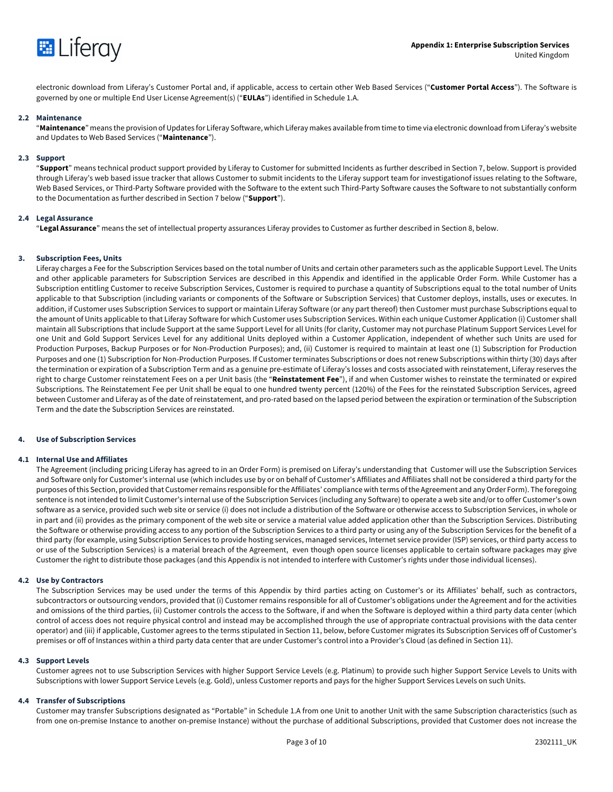

electronic download from Liferay's Customer Portal and, if applicable, access to certain other Web Based Services ("**Customer Portal Access**"). The Software is governed by one or multiple End User License Agreement(s) ("**EULAs**") identified in Schedule 1.A.

# **2.2 Maintenance**

"**Maintenance**" means the provision of Updates for Liferay Software, which Liferay makes available from time to time via electronic download from Liferay's website and Updates to Web Based Services ("**Maintenance**").

#### **2.3 Support**

"**Support**" means technical product support provided by Liferay to Customer for submitted Incidents as further described in Section 7, below. Support is provided through Liferay's web based issue tracker that allows Customer to submit incidents to the Liferay support team for investigationof issues relating to the Software, Web Based Services, or Third-Party Software provided with the Software to the extent such Third-Party Software causes the Software to not substantially conform to the Documentation as further described in Section 7 below ("**Support**").

# **2.4 Legal Assurance**

"**Legal Assurance**" means the set of intellectual property assurances Liferay provides to Customer as further described in Section 8, below.

#### **3. Subscription Fees, Units**

Liferay charges a Fee for the Subscription Services based on the total number of Units and certain other parameters such as the applicable Support Level. The Units and other applicable parameters for Subscription Services are described in this Appendix and identified in the applicable Order Form. While Customer has a Subscription entitling Customer to receive Subscription Services, Customer is required to purchase a quantity of Subscriptions equal to the total number of Units applicable to that Subscription (including variants or components of the Software or Subscription Services) that Customer deploys, installs, uses or executes. In addition, if Customer uses Subscription Services to support or maintain Liferay Software (or any part thereof) then Customer must purchase Subscriptions equal to the amount of Units applicable to that Liferay Software for which Customer uses Subscription Services. Within each unique Customer Application (i) Customer shall maintain all Subscriptions that include Support at the same Support Level for all Units (for clarity, Customer may not purchase Platinum Support Services Level for one Unit and Gold Support Services Level for any additional Units deployed within a Customer Application, independent of whether such Units are used for Production Purposes, Backup Purposes or for Non-Production Purposes); and, (ii) Customer is required to maintain at least one (1) Subscription for Production Purposes and one (1) Subscription for Non-Production Purposes. If Customer terminates Subscriptions or does not renew Subscriptions within thirty (30) days after the termination or expiration of a Subscription Term and as a genuine pre-estimate of Liferay's losses and costs associated with reinstatement, Liferay reserves the right to charge Customer reinstatement Fees on a per Unit basis (the "**Reinstatement Fee**"), if and when Customer wishes to reinstate the terminated or expired Subscriptions. The Reinstatement Fee per Unit shall be equal to one hundred twenty percent (120%) of the Fees for the reinstated Subscription Services, agreed between Customer and Liferay as of the date of reinstatement, and pro-rated based on the lapsed period between the expiration or termination of the Subscription Term and the date the Subscription Services are reinstated.

# **4. Use of Subscription Services**

#### **4.1 Internal Use and Affiliates**

The Agreement (including pricing Liferay has agreed to in an Order Form) is premised on Liferay's understanding that Customer will use the Subscription Services and Software only for Customer's internal use (which includes use by or on behalf of Customer's Affiliates and Affiliates shall not be considered a third party for the purposes of this Section, provided that Customer remains responsible for the Affiliates' compliance with terms of the Agreement and any Order Form). The foregoing sentence is not intended to limit Customer's internal use of the Subscription Services (including any Software) to operate a web site and/or to offer Customer's own software as a service, provided such web site or service (i) does not include a distribution of the Software or otherwise access to Subscription Services, in whole or in part and (ii) provides as the primary component of the web site or service a material value added application other than the Subscription Services. Distributing the Software or otherwise providing access to any portion of the Subscription Services to a third party or using any of the Subscription Services for the benefit of a third party (for example, using Subscription Services to provide hosting services, managed services, Internet service provider (ISP) services, or third party access to or use of the Subscription Services) is a material breach of the Agreement, even though open source licenses applicable to certain software packages may give Customer the right to distribute those packages (and this Appendix is not intended to interfere with Customer's rights under those individual licenses).

#### **4.2 Use by Contractors**

The Subscription Services may be used under the terms of this Appendix by third parties acting on Customer's or its Affiliates' behalf, such as contractors, subcontractors or outsourcing vendors, provided that (i) Customer remains responsible for all of Customer's obligations under the Agreement and for the activities and omissions of the third parties, (ii) Customer controls the access to the Software, if and when the Software is deployed within a third party data center (which control of access does not require physical control and instead may be accomplished through the use of appropriate contractual provisions with the data center operator) and (iii) if applicable, Customer agrees to the terms stipulated in Section 11, below, before Customer migrates its Subscription Services off of Customer's premises or off of Instances within a third party data center that are under Customer's control into a Provider's Cloud (as defined in Section 11).

#### **4.3 Support Levels**

Customer agrees not to use Subscription Services with higher Support Service Levels (e.g. Platinum) to provide such higher Support Service Levels to Units with Subscriptions with lower Support Service Levels (e.g. Gold), unless Customer reports and pays for the higher Support Services Levels on such Units.

#### **4.4 Transfer of Subscriptions**

Customer may transfer Subscriptions designated as "Portable" in Schedule 1.A from one Unit to another Unit with the same Subscription characteristics (such as from one on-premise Instance to another on-premise Instance) without the purchase of additional Subscriptions, provided that Customer does not increase the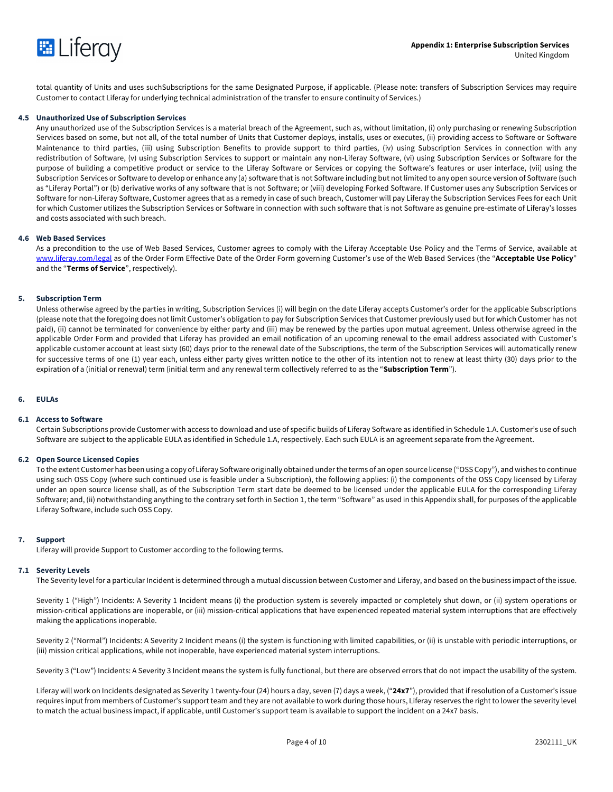

total quantity of Units and uses suchSubscriptions for the same Designated Purpose, if applicable. (Please note: transfers of Subscription Services may require Customer to contact Liferay for underlying technical administration of the transfer to ensure continuity of Services.)

# **4.5 Unauthorized Use of Subscription Services**

Any unauthorized use of the Subscription Services is a material breach of the Agreement, such as, without limitation, (i) only purchasing or renewing Subscription Services based on some, but not all, of the total number of Units that Customer deploys, installs, uses or executes, (ii) providing access to Software or Software Maintenance to third parties, (iii) using Subscription Benefits to provide support to third parties, (iv) using Subscription Services in connection with any redistribution of Software, (v) using Subscription Services to support or maintain any non-Liferay Software, (vi) using Subscription Services or Software for the purpose of building a competitive product or service to the Liferay Software or Services or copying the Software's features or user interface, (vii) using the Subscription Services or Software to develop or enhance any (a) software that is not Software including but not limited to any open source version of Software (such as "Liferay Portal") or (b) derivative works of any software that is not Software; or (viii) developing Forked Software. If Customer uses any Subscription Services or Software for non-Liferay Software, Customer agrees that as a remedy in case of such breach, Customer will pay Liferay the Subscription Services Fees for each Unit for which Customer utilizes the Subscription Services or Software in connection with such software that is not Software as genuine pre-estimate of Liferay's losses and costs associated with such breach.

# **4.6 Web Based Services**

As a precondition to the use of Web Based Services, Customer agrees to comply with the Liferay Acceptable Use Policy and the Terms of Service, available at www.liferay.com/legal as of the Order Form Effective Date of the Order Form governing Customer's use of the Web Based Services (the "**Acceptable Use Policy**" and the "**Terms of Service**", respectively).

# **5. Subscription Term**

Unless otherwise agreed by the parties in writing, Subscription Services (i) will begin on the date Liferay accepts Customer's order for the applicable Subscriptions (please note that the foregoing does not limit Customer's obligation to pay for Subscription Services that Customer previously used but for which Customer has not paid), (ii) cannot be terminated for convenience by either party and (iii) may be renewed by the parties upon mutual agreement. Unless otherwise agreed in the applicable Order Form and provided that Liferay has provided an email notification of an upcoming renewal to the email address associated with Customer's applicable customer account at least sixty (60) days prior to the renewal date of the Subscriptions, the term of the Subscription Services will automatically renew for successive terms of one (1) year each, unless either party gives written notice to the other of its intention not to renew at least thirty (30) days prior to the expiration of a (initial or renewal) term (initial term and any renewal term collectively referred to as the "**Subscription Term**").

# **6. EULAs**

# **6.1 Access to Software**

Certain Subscriptions provide Customer with access to download and use of specific builds of Liferay Software as identified in Schedule 1.A. Customer's use of such Software are subject to the applicable EULA as identified in Schedule 1.A, respectively. Each such EULA is an agreement separate from the Agreement.

#### **6.2 Open Source Licensed Copies**

To the extent Customer has been using a copy of Liferay Software originally obtained under the terms of an open source license ("OSS Copy"), and wishes to continue using such OSS Copy (where such continued use is feasible under a Subscription), the following applies: (i) the components of the OSS Copy licensed by Liferay under an open source license shall, as of the Subscription Term start date be deemed to be licensed under the applicable EULA for the corresponding Liferay Software; and, (ii) notwithstanding anything to the contrary set forth in Section 1, the term "Software" as used in this Appendix shall, for purposes of the applicable Liferay Software, include such OSS Copy.

# **7. Support**

Liferay will provide Support to Customer according to the following terms.

#### **7.1 Severity Levels**

The Severity level for a particular Incident is determined through a mutual discussion between Customer and Liferay, and based on the business impact of the issue.

Severity 1 ("High") Incidents: A Severity 1 Incident means (i) the production system is severely impacted or completely shut down, or (ii) system operations or mission-critical applications are inoperable, or (iii) mission-critical applications that have experienced repeated material system interruptions that are effectively making the applications inoperable.

Severity 2 ("Normal") Incidents: A Severity 2 Incident means (i) the system is functioning with limited capabilities, or (ii) is unstable with periodic interruptions, or (iii) mission critical applications, while not inoperable, have experienced material system interruptions.

Severity 3 ("Low") Incidents: A Severity 3 Incident means the system is fully functional, but there are observed errors that do not impact the usability of the system.

Liferay will work on Incidents designated as Severity 1 twenty-four (24) hours a day, seven (7) days a week, ("**24x7**"), provided that if resolution of a Customer's issue requires input from members of Customer's support team and they are not available to work during those hours, Liferay reserves the right to lower the severity level to match the actual business impact, if applicable, until Customer's support team is available to support the incident on a 24x7 basis.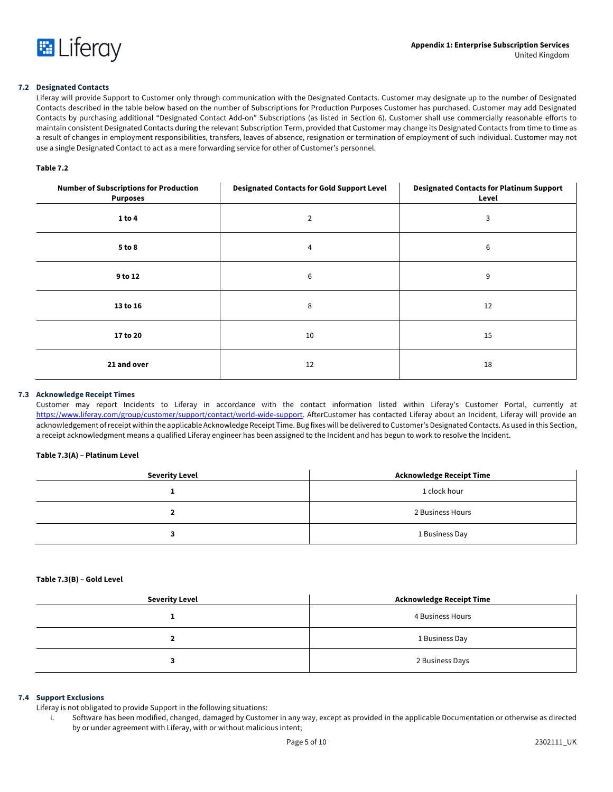

# **7.2 Designated Contacts**

Liferay will provide Support to Customer only through communication with the Designated Contacts. Customer may designate up to the number of Designated Contacts described in the table below based on the number of Subscriptions for Production Purposes Customer has purchased. Customer may add Designated Contacts by purchasing additional "Designated Contact Add-on" Subscriptions (as listed in Section 6). Customer shall use commercially reasonable efforts to maintain consistent Designated Contacts during the relevant Subscription Term, provided that Customer may change its Designated Contacts from time to time as a result of changes in employment responsibilities, transfers, leaves of absence, resignation or termination of employment of such individual. Customer may not use a single Designated Contact to act as a mere forwarding service for other of Customer's personnel.

# **Table 7.2**

| <b>Number of Subscriptions for Production</b><br><b>Purposes</b> | <b>Designated Contacts for Gold Support Level</b> | <b>Designated Contacts for Platinum Support</b><br>Level |
|------------------------------------------------------------------|---------------------------------------------------|----------------------------------------------------------|
| 1 to 4                                                           | $\overline{2}$                                    | 3                                                        |
| 5 to 8                                                           | 4                                                 | 6                                                        |
| 9 to 12                                                          | 6                                                 | 9                                                        |
| 13 to 16                                                         | 8                                                 | 12                                                       |
| 17 to 20                                                         | 10                                                | 15                                                       |
| 21 and over                                                      | 12                                                | 18                                                       |

# **7.3 Acknowledge Receipt Times**

Customer may report Incidents to Liferay in accordance with the contact information listed within Liferay's Customer Portal, currently at https://www.liferay.com/group/customer/support/contact/world-wide-support. AfterCustomer has contacted Liferay about an Incident. Liferay will provide an acknowledgement of receipt within the applicable Acknowledge Receipt Time. Bug fixes will be delivered to Customer's Designated Contacts. As used in this Section, a receipt acknowledgment means a qualified Liferay engineer has been assigned to the Incident and has begun to work to resolve the Incident.

# **Table 7.3(A) – Platinum Level**

| <b>Severity Level</b> | Acknowledge Receipt Time |
|-----------------------|--------------------------|
|                       | 1 clock hour             |
|                       | 2 Business Hours         |
|                       | 1 Business Day           |

# **Table 7.3(B) – Gold Level**

| <b>Severity Level</b> | <b>Acknowledge Receipt Time</b> |
|-----------------------|---------------------------------|
|                       | 4 Business Hours                |
|                       | 1 Business Day                  |
|                       | 2 Business Days                 |

# **7.4 Support Exclusions**

Liferay is not obligated to provide Support in the following situations:

i. Software has been modified, changed, damaged by Customer in any way, except as provided in the applicable Documentation or otherwise as directed by or under agreement with Liferay, with or without malicious intent;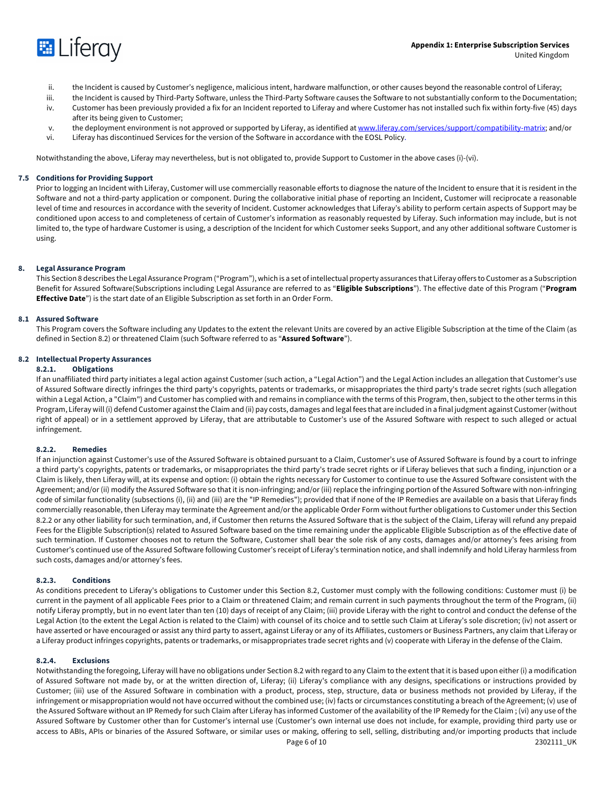

- ii. the Incident is caused by Customer's negligence, malicious intent, hardware malfunction, or other causes beyond the reasonable control of Liferay;
- iii. the Incident is caused by Third-Party Software, unless the Third-Party Software causes the Software to not substantially conform to the Documentation;
- iv. Customer has been previously provided a fix for an Incident reported to Liferay and where Customer has not installed such fix within forty-five (45) days after its being given to Customer;
- v. the deployment environment is not approved or supported by Liferay, as identified at www.liferay.com/services/support/compatibility-matrix; and/or
- vi. Liferay has discontinued Services for the version of the Software in accordance with the EOSL Policy.

Notwithstanding the above, Liferay may nevertheless, but is not obligated to, provide Support to Customer in the above cases (i)-(vi).

# **7.5 Conditions for Providing Support**

Prior to logging an Incident with Liferay, Customer will use commercially reasonable efforts to diagnose the nature of the Incident to ensure that it is resident in the Software and not a third-party application or component. During the collaborative initial phase of reporting an Incident, Customer will reciprocate a reasonable level of time and resources in accordance with the severity of Incident. Customer acknowledges that Liferay's ability to perform certain aspects of Support may be conditioned upon access to and completeness of certain of Customer's information as reasonably requested by Liferay. Such information may include, but is not limited to, the type of hardware Customer is using, a description of the Incident for which Customer seeks Support, and any other additional software Customer is using.

# **8. Legal Assurance Program**

This Section 8 describes the Legal Assurance Program ("Program"), which is a set of intellectual property assurances that Liferay offers to Customer as a Subscription Benefit for Assured Software(Subscriptions including Legal Assurance are referred to as "**Eligible Subscriptions**"). The effective date of this Program ("**Program Effective Date**") is the start date of an Eligible Subscription as set forth in an Order Form.

# **8.1 Assured Software**

This Program covers the Software including any Updates to the extent the relevant Units are covered by an active Eligible Subscription at the time of the Claim (as defined in Section 8.2) or threatened Claim (such Software referred to as "**Assured Software**").

# **8.2 Intellectual Property Assurances**

# **8.2.1. Obligations**

If an unaffiliated third party initiates a legal action against Customer (such action, a "Legal Action") and the Legal Action includes an allegation that Customer's use of Assured Software directly infringes the third party's copyrights, patents or trademarks, or misappropriates the third party's trade secret rights (such allegation within a Legal Action, a "Claim") and Customer has complied with and remains in compliance with the terms of this Program, then, subject to the other terms in this Program, Liferay will (i) defend Customer against the Claim and (ii) pay costs, damages and legal fees that are included in a final judgment against Customer (without right of appeal) or in a settlement approved by Liferay, that are attributable to Customer's use of the Assured Software with respect to such alleged or actual infringement.

# **8.2.2. Remedies**

If an injunction against Customer's use of the Assured Software is obtained pursuant to a Claim, Customer's use of Assured Software is found by a court to infringe a third party's copyrights, patents or trademarks, or misappropriates the third party's trade secret rights or if Liferay believes that such a finding, injunction or a Claim is likely, then Liferay will, at its expense and option: (i) obtain the rights necessary for Customer to continue to use the Assured Software consistent with the Agreement; and/or (ii) modify the Assured Software so that it is non-infringing; and/or (iii) replace the infringing portion of the Assured Software with non-infringing code of similar functionality (subsections (i), (ii) and (iii) are the "IP Remedies"); provided that if none of the IP Remedies are available on a basis that Liferay finds commercially reasonable, then Liferay may terminate the Agreement and/or the applicable Order Form without further obligations to Customer under this Section 8.2.2 or any other liability for such termination, and, if Customer then returns the Assured Software that is the subject of the Claim, Liferay will refund any prepaid Fees for the Eligible Subscription(s) related to Assured Software based on the time remaining under the applicable Eligible Subscription as of the effective date of such termination. If Customer chooses not to return the Software, Customer shall bear the sole risk of any costs, damages and/or attorney's fees arising from Customer's continued use of the Assured Software following Customer's receipt of Liferay's termination notice, and shall indemnify and hold Liferay harmless from such costs, damages and/or attorney's fees.

# **8.2.3. Conditions**

As conditions precedent to Liferay's obligations to Customer under this Section 8.2, Customer must comply with the following conditions: Customer must (i) be current in the payment of all applicable Fees prior to a Claim or threatened Claim; and remain current in such payments throughout the term of the Program, (ii) notify Liferay promptly, but in no event later than ten (10) days of receipt of any Claim; (iii) provide Liferay with the right to control and conduct the defense of the Legal Action (to the extent the Legal Action is related to the Claim) with counsel of its choice and to settle such Claim at Liferay's sole discretion; (iv) not assert or have asserted or have encouraged or assist any third party to assert, against Liferay or any of its Affiliates, customers or Business Partners, any claim that Liferay or a Liferay product infringes copyrights, patents or trademarks, or misappropriates trade secret rights and (v) cooperate with Liferay in the defense of the Claim.

# **8.2.4. Exclusions**

Page 6 of 10 2302111\_UK Notwithstanding the foregoing, Liferay will have no obligations under Section 8.2 with regard to any Claim to the extent that it is based upon either (i) a modification of Assured Software not made by, or at the written direction of, Liferay; (ii) Liferay's compliance with any designs, specifications or instructions provided by Customer; (iii) use of the Assured Software in combination with a product, process, step, structure, data or business methods not provided by Liferay, if the infringement or misappropriation would not have occurred without the combined use; (iv) facts or circumstances constituting a breach of the Agreement; (v) use of the Assured Software without an IP Remedy for such Claim after Liferay has informed Customer of the availability of the IP Remedy for the Claim ; (vi) any use of the Assured Software by Customer other than for Customer's internal use (Customer's own internal use does not include, for example, providing third party use or access to ABIs, APIs or binaries of the Assured Software, or similar uses or making, offering to sell, selling, distributing and/or importing products that include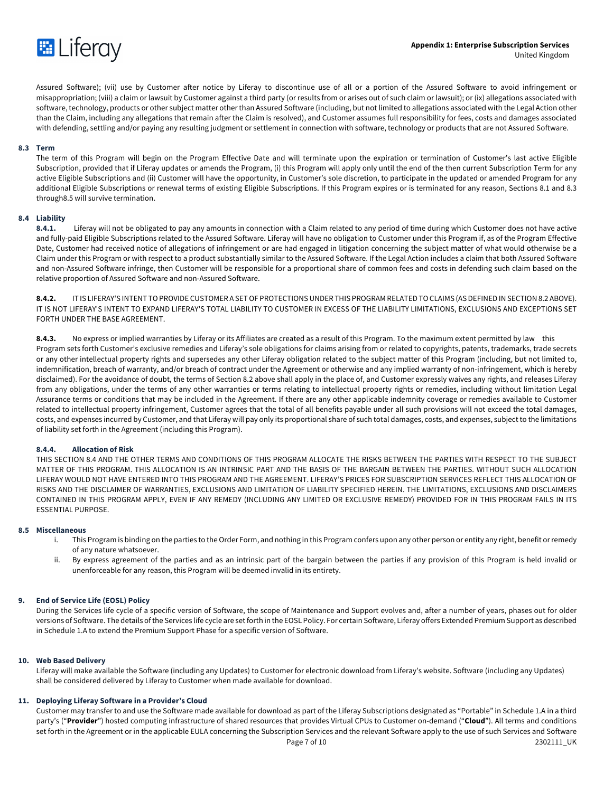

Assured Software); (vii) use by Customer after notice by Liferay to discontinue use of all or a portion of the Assured Software to avoid infringement or misappropriation; (viii) a claim or lawsuit by Customer against a third party (or results from or arises out of such claim or lawsuit); or (ix) allegations associated with software, technology, products or other subject matter other than Assured Software (including, but not limited to allegations associated with the Legal Action other than the Claim, including any allegations that remain after the Claim is resolved), and Customer assumes full responsibility for fees, costs and damages associated with defending, settling and/or paying any resulting judgment or settlement in connection with software, technology or products that are not Assured Software.

# **8.3 Term**

The term of this Program will begin on the Program Effective Date and will terminate upon the expiration or termination of Customer's last active Eligible Subscription, provided that if Liferay updates or amends the Program, (i) this Program will apply only until the end of the then current Subscription Term for any active Eligible Subscriptions and (ii) Customer will have the opportunity, in Customer's sole discretion, to participate in the updated or amended Program for any additional Eligible Subscriptions or renewal terms of existing Eligible Subscriptions. If this Program expires or is terminated for any reason, Sections 8.1 and 8.3 through8.5 will survive termination.

# **8.4 Liability**

**8.4.1.** Liferay will not be obligated to pay any amounts in connection with a Claim related to any period of time during which Customer does not have active and fully-paid Eligible Subscriptions related to the Assured Software. Liferay will have no obligation to Customer under this Program if, as of the Program Effective Date, Customer had received notice of allegations of infringement or are had engaged in litigation concerning the subject matter of what would otherwise be a Claim under this Program or with respect to a product substantially similar to the Assured Software. If the Legal Action includes a claim that both Assured Software and non-Assured Software infringe, then Customer will be responsible for a proportional share of common fees and costs in defending such claim based on the relative proportion of Assured Software and non-Assured Software.

**8.4.2.** IT IS LIFERAY'S INTENT TO PROVIDE CUSTOMER A SET OF PROTECTIONS UNDER THIS PROGRAM RELATED TO CLAIMS (AS DEFINED IN SECTION 8.2 ABOVE). IT IS NOT LIFERAY'S INTENT TO EXPAND LIFERAY'S TOTAL LIABILITY TO CUSTOMER IN EXCESS OF THE LIABILITY LIMITATIONS, EXCLUSIONS AND EXCEPTIONS SET FORTH UNDER THE BASE AGREEMENT.

**8.4.3.** No express or implied warranties by Liferay or its Affiliates are created as a result of this Program. To the maximum extent permitted by law this Program sets forth Customer's exclusive remedies and Liferay's sole obligations for claims arising from or related to copyrights, patents, trademarks, trade secrets or any other intellectual property rights and supersedes any other Liferay obligation related to the subject matter of this Program (including, but not limited to, indemnification, breach of warranty, and/or breach of contract under the Agreement or otherwise and any implied warranty of non-infringement, which is hereby disclaimed). For the avoidance of doubt, the terms of Section 8.2 above shall apply in the place of, and Customer expressly waives any rights, and releases Liferay from any obligations, under the terms of any other warranties or terms relating to intellectual property rights or remedies, including without limitation Legal Assurance terms or conditions that may be included in the Agreement. If there are any other applicable indemnity coverage or remedies available to Customer related to intellectual property infringement, Customer agrees that the total of all benefits payable under all such provisions will not exceed the total damages, costs, and expenses incurred by Customer, and that Liferay will pay only its proportional share of such total damages, costs, and expenses, subject to the limitations of liability set forth in the Agreement (including this Program).

# **8.4.4. Allocation of Risk**

THIS SECTION 8.4 AND THE OTHER TERMS AND CONDITIONS OF THIS PROGRAM ALLOCATE THE RISKS BETWEEN THE PARTIES WITH RESPECT TO THE SUBJECT MATTER OF THIS PROGRAM. THIS ALLOCATION IS AN INTRINSIC PART AND THE BASIS OF THE BARGAIN BETWEEN THE PARTIES. WITHOUT SUCH ALLOCATION LIFERAY WOULD NOT HAVE ENTERED INTO THIS PROGRAM AND THE AGREEMENT. LIFERAY'S PRICES FOR SUBSCRIPTION SERVICES REFLECT THIS ALLOCATION OF RISKS AND THE DISCLAIMER OF WARRANTIES, EXCLUSIONS AND LIMITATION OF LIABILITY SPECIFIED HEREIN. THE LIMITATIONS, EXCLUSIONS AND DISCLAIMERS CONTAINED IN THIS PROGRAM APPLY, EVEN IF ANY REMEDY (INCLUDING ANY LIMITED OR EXCLUSIVE REMEDY) PROVIDED FOR IN THIS PROGRAM FAILS IN ITS ESSENTIAL PURPOSE.

# **8.5 Miscellaneous**

- i. This Program is binding on the parties to the Order Form, and nothing in this Program confers upon any other person or entity any right, benefit or remedy of any nature whatsoever.
- ii. By express agreement of the parties and as an intrinsic part of the bargain between the parties if any provision of this Program is held invalid or unenforceable for any reason, this Program will be deemed invalid in its entirety.

# **9. End of Service Life (EOSL) Policy**

During the Services life cycle of a specific version of Software, the scope of Maintenance and Support evolves and, after a number of years, phases out for older versions of Software. The details of the Services life cycle are set forth in the EOSL Policy. For certain Software, Liferay offers Extended Premium Support as described in Schedule 1.A to extend the Premium Support Phase for a specific version of Software.

# **10. Web Based Delivery**

Liferay will make available the Software (including any Updates) to Customer for electronic download from Liferay's website. Software (including any Updates) shall be considered delivered by Liferay to Customer when made available for download.

# **11. Deploying Liferay Software in a Provider's Cloud**

Page 7 of 10 2302111\_UK Customer may transfer to and use the Software made available for download as part of the Liferay Subscriptions designated as "Portable" in Schedule 1.A in a third party's ("**Provider**") hosted computing infrastructure of shared resources that provides Virtual CPUs to Customer on-demand ("**Cloud**"). All terms and conditions set forth in the Agreement or in the applicable EULA concerning the Subscription Services and the relevant Software apply to the use of such Services and Software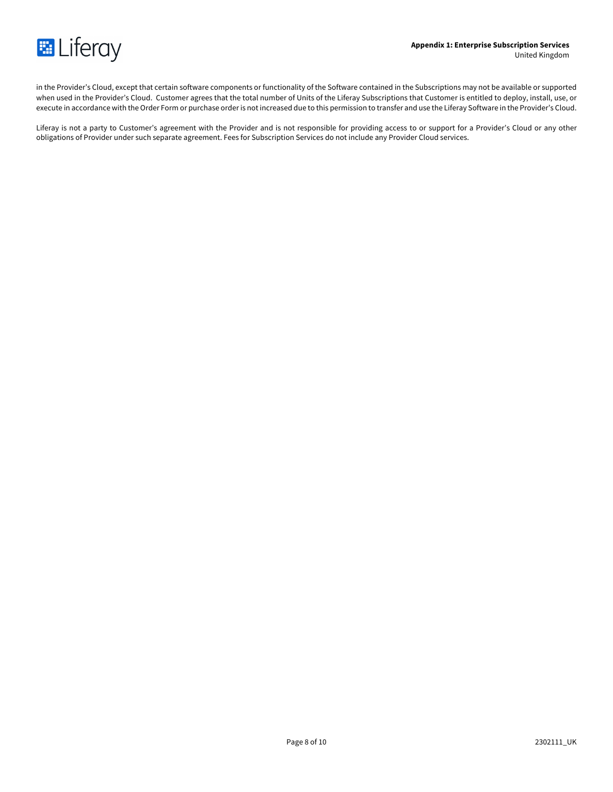

in the Provider's Cloud, except that certain software components or functionality of the Software contained in the Subscriptions may not be available or supported when used in the Provider's Cloud. Customer agrees that the total number of Units of the Liferay Subscriptions that Customer is entitled to deploy, install, use, or execute in accordance with the Order Form or purchase order is not increased due to this permission to transfer and use the Liferay Software in the Provider's Cloud.

Liferay is not a party to Customer's agreement with the Provider and is not responsible for providing access to or support for a Provider's Cloud or any other obligations of Provider under such separate agreement. Fees for Subscription Services do not include any Provider Cloud services.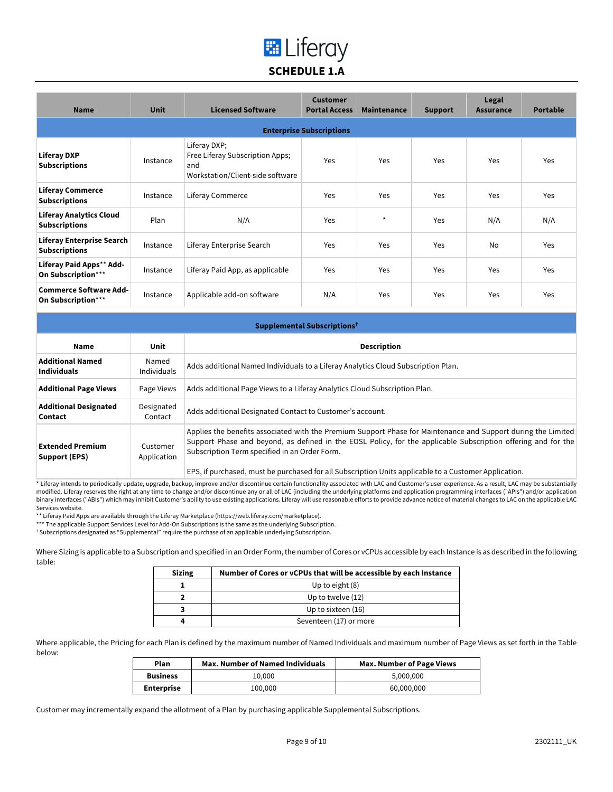# **E** Liferay **SCHEDULE 1.A**

| <b>Name</b>                                              | <b>Unit</b> | <b>Licensed Software</b>                                                                   | <b>Customer</b><br><b>Portal Access</b> | Maintenance | <b>Support</b> | Legal<br><b>Assurance</b> | <b>Portable</b> |
|----------------------------------------------------------|-------------|--------------------------------------------------------------------------------------------|-----------------------------------------|-------------|----------------|---------------------------|-----------------|
|                                                          |             |                                                                                            | <b>Enterprise Subscriptions</b>         |             |                |                           |                 |
| <b>Liferay DXP</b><br><b>Subscriptions</b>               | Instance    | Liferay DXP;<br>Free Liferay Subscription Apps;<br>and<br>Workstation/Client-side software | Yes                                     | Yes         | Yes            | Yes                       | Yes             |
| <b>Liferay Commerce</b><br><b>Subscriptions</b>          | Instance    | Liferay Commerce                                                                           | Yes                                     | Yes         | Yes            | Yes                       | Yes             |
| <b>Liferay Analytics Cloud</b><br><b>Subscriptions</b>   | Plan        | N/A                                                                                        | Yes                                     | $\star$     | Yes            | N/A                       | N/A             |
| <b>Liferay Enterprise Search</b><br><b>Subscriptions</b> | Instance    | Liferay Enterprise Search                                                                  | Yes                                     | Yes         | Yes            | <b>No</b>                 | Yes             |
| Liferay Paid Apps** Add-<br>On Subscription***           | Instance    | Liferay Paid App, as applicable                                                            | Yes                                     | Yes         | Yes            | Yes                       | Yes             |
| <b>Commerce Software Add-</b><br>On Subscription***      | Instance    | Applicable add-on software                                                                 | N/A                                     | Yes         | Yes            | Yes                       | Yes             |

| Supplemental Subscriptions <sup>t</sup> |                                                                                                                                                                                                                                                                                 |  |
|-----------------------------------------|---------------------------------------------------------------------------------------------------------------------------------------------------------------------------------------------------------------------------------------------------------------------------------|--|
| Unit                                    | <b>Description</b>                                                                                                                                                                                                                                                              |  |
| Named<br>Individuals                    | Adds additional Named Individuals to a Liferay Analytics Cloud Subscription Plan.                                                                                                                                                                                               |  |
| Page Views                              | Adds additional Page Views to a Liferay Analytics Cloud Subscription Plan.                                                                                                                                                                                                      |  |
| Designated<br>Contact                   | Adds additional Designated Contact to Customer's account.                                                                                                                                                                                                                       |  |
| Customer<br>Application                 | Applies the benefits associated with the Premium Support Phase for Maintenance and Support during the Limited<br>Support Phase and beyond, as defined in the EOSL Policy, for the applicable Subscription offering and for the<br>Subscription Term specified in an Order Form. |  |
|                                         |                                                                                                                                                                                                                                                                                 |  |

EPS, if purchased, must be purchased for all Subscription Units applicable to a Customer Application.

\* Liferay intends to periodically update, upgrade, backup, improve and/or discontinue certain functionality associated with LAC and Customer's user experience. As a result, LAC may be substantially modified. Liferay reserves the right at any time to change and/or discontinue any or all of LAC (including the underlying platforms and application programming interfaces ("APIs") and/or application binary interfaces ("ABIs") which may inhibit Customer's ability to use existing applications. Liferay will use reasonable efforts to provide advance notice of material changes to LAC on the applicable LAC Services website.

\*\* Liferay Paid Apps are available through the Liferay Marketplace (https://web.liferay.com/marketplace).

\*\*\* The applicable Support Services Level for Add-On Subscriptions is the same as the underlying Subscription.

† Subscriptions designated as "Supplemental" require the purchase of an applicable underlying Subscription.

Where Sizing is applicable to a Subscription and specified in an Order Form, the number of Cores or vCPUs accessible by each Instance is as described in the following table:

| <b>Sizing</b> | Number of Cores or vCPUs that will be accessible by each Instance |
|---------------|-------------------------------------------------------------------|
|               | Up to eight $(8)$                                                 |
|               | Up to twelve (12)                                                 |
|               | Up to sixteen (16)                                                |
|               | Seventeen (17) or more                                            |

Where applicable, the Pricing for each Plan is defined by the maximum number of Named Individuals and maximum number of Page Views as set forth in the Table below:

| Plan              | <b>Max. Number of Named Individuals</b> | <b>Max. Number of Page Views</b> |
|-------------------|-----------------------------------------|----------------------------------|
| <b>Business</b>   | 10.000                                  | 5.000.000                        |
| <b>Enterprise</b> | 100.000                                 | 60.000.000                       |

Customer may incrementally expand the allotment of a Plan by purchasing applicable Supplemental Subscriptions.